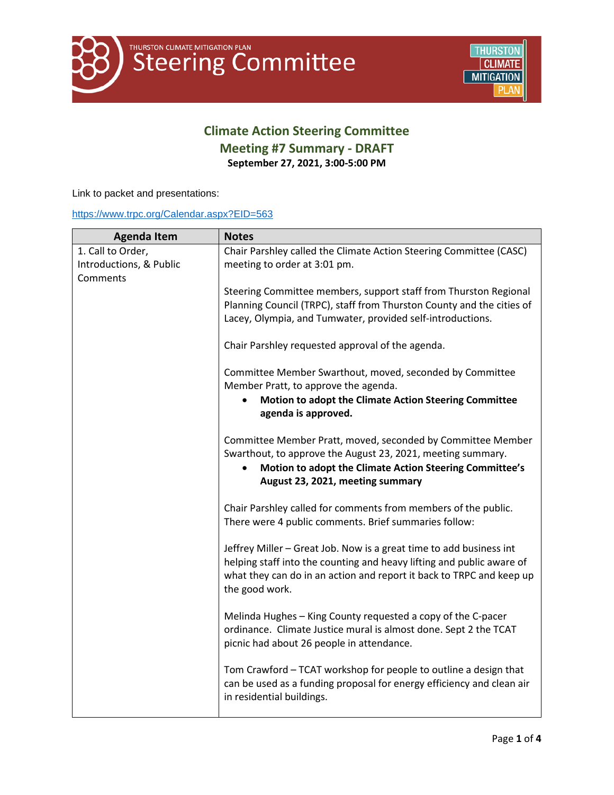## **Climate Action Steering Committee Meeting #7 Summary - DRAFT September 27, 2021, 3:00-5:00 PM**

Link to packet and presentations:

#### <https://www.trpc.org/Calendar.aspx?EID=563>

| <b>Agenda Item</b>                                       | <b>Notes</b>                                                                                                                                                                                                                           |
|----------------------------------------------------------|----------------------------------------------------------------------------------------------------------------------------------------------------------------------------------------------------------------------------------------|
| 1. Call to Order,<br>Introductions, & Public<br>Comments | Chair Parshley called the Climate Action Steering Committee (CASC)<br>meeting to order at 3:01 pm.                                                                                                                                     |
|                                                          | Steering Committee members, support staff from Thurston Regional<br>Planning Council (TRPC), staff from Thurston County and the cities of<br>Lacey, Olympia, and Tumwater, provided self-introductions.                                |
|                                                          | Chair Parshley requested approval of the agenda.                                                                                                                                                                                       |
|                                                          | Committee Member Swarthout, moved, seconded by Committee<br>Member Pratt, to approve the agenda.<br>Motion to adopt the Climate Action Steering Committee<br>$\bullet$<br>agenda is approved.                                          |
|                                                          | Committee Member Pratt, moved, seconded by Committee Member<br>Swarthout, to approve the August 23, 2021, meeting summary.<br>Motion to adopt the Climate Action Steering Committee's<br>August 23, 2021, meeting summary              |
|                                                          | Chair Parshley called for comments from members of the public.<br>There were 4 public comments. Brief summaries follow:                                                                                                                |
|                                                          | Jeffrey Miller - Great Job. Now is a great time to add business int<br>helping staff into the counting and heavy lifting and public aware of<br>what they can do in an action and report it back to TRPC and keep up<br>the good work. |
|                                                          | Melinda Hughes - King County requested a copy of the C-pacer<br>ordinance. Climate Justice mural is almost done. Sept 2 the TCAT<br>picnic had about 26 people in attendance.                                                          |
|                                                          | Tom Crawford - TCAT workshop for people to outline a design that<br>can be used as a funding proposal for energy efficiency and clean air<br>in residential buildings.                                                                 |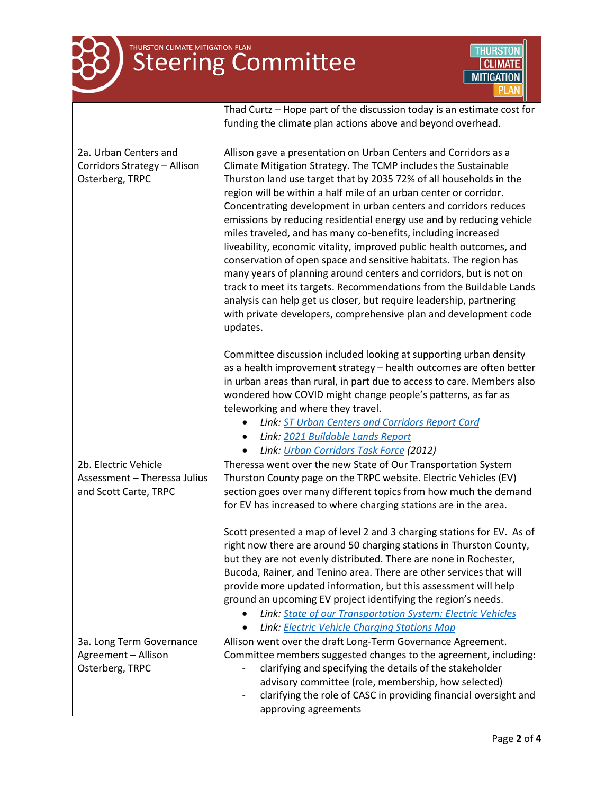



|                                                                               | Thad Curtz - Hope part of the discussion today is an estimate cost for<br>funding the climate plan actions above and beyond overhead.                                                                                                                                                                                                                                                                                                                                                                                                                                                                                                                                                                                                                                               |
|-------------------------------------------------------------------------------|-------------------------------------------------------------------------------------------------------------------------------------------------------------------------------------------------------------------------------------------------------------------------------------------------------------------------------------------------------------------------------------------------------------------------------------------------------------------------------------------------------------------------------------------------------------------------------------------------------------------------------------------------------------------------------------------------------------------------------------------------------------------------------------|
|                                                                               |                                                                                                                                                                                                                                                                                                                                                                                                                                                                                                                                                                                                                                                                                                                                                                                     |
| 2a. Urban Centers and<br>Corridors Strategy - Allison<br>Osterberg, TRPC      | Allison gave a presentation on Urban Centers and Corridors as a<br>Climate Mitigation Strategy. The TCMP includes the Sustainable<br>Thurston land use target that by 2035 72% of all households in the<br>region will be within a half mile of an urban center or corridor.<br>Concentrating development in urban centers and corridors reduces<br>emissions by reducing residential energy use and by reducing vehicle<br>miles traveled, and has many co-benefits, including increased<br>liveability, economic vitality, improved public health outcomes, and<br>conservation of open space and sensitive habitats. The region has<br>many years of planning around centers and corridors, but is not on<br>track to meet its targets. Recommendations from the Buildable Lands |
|                                                                               | analysis can help get us closer, but require leadership, partnering<br>with private developers, comprehensive plan and development code<br>updates.                                                                                                                                                                                                                                                                                                                                                                                                                                                                                                                                                                                                                                 |
|                                                                               | Committee discussion included looking at supporting urban density<br>as a health improvement strategy - health outcomes are often better<br>in urban areas than rural, in part due to access to care. Members also<br>wondered how COVID might change people's patterns, as far as<br>teleworking and where they travel.                                                                                                                                                                                                                                                                                                                                                                                                                                                            |
|                                                                               | Link: ST Urban Centers and Corridors Report Card<br>Link: 2021 Buildable Lands Report                                                                                                                                                                                                                                                                                                                                                                                                                                                                                                                                                                                                                                                                                               |
|                                                                               | Link: Urban Corridors Task Force (2012)<br>$\bullet$                                                                                                                                                                                                                                                                                                                                                                                                                                                                                                                                                                                                                                                                                                                                |
| 2b. Electric Vehicle<br>Assessment - Theressa Julius<br>and Scott Carte, TRPC | Theressa went over the new State of Our Transportation System<br>Thurston County page on the TRPC website. Electric Vehicles (EV)<br>section goes over many different topics from how much the demand<br>for EV has increased to where charging stations are in the area.                                                                                                                                                                                                                                                                                                                                                                                                                                                                                                           |
|                                                                               | Scott presented a map of level 2 and 3 charging stations for EV. As of<br>right now there are around 50 charging stations in Thurston County,<br>but they are not evenly distributed. There are none in Rochester,<br>Bucoda, Rainer, and Tenino area. There are other services that will<br>provide more updated information, but this assessment will help<br>ground an upcoming EV project identifying the region's needs.<br>Link: State of our Transportation System: Electric Vehicles<br>Link: Electric Vehicle Charging Stations Map                                                                                                                                                                                                                                        |
| 3a. Long Term Governance<br>Agreement - Allison<br>Osterberg, TRPC            | Allison went over the draft Long-Term Governance Agreement.<br>Committee members suggested changes to the agreement, including:<br>clarifying and specifying the details of the stakeholder<br>advisory committee (role, membership, how selected)<br>clarifying the role of CASC in providing financial oversight and<br>approving agreements                                                                                                                                                                                                                                                                                                                                                                                                                                      |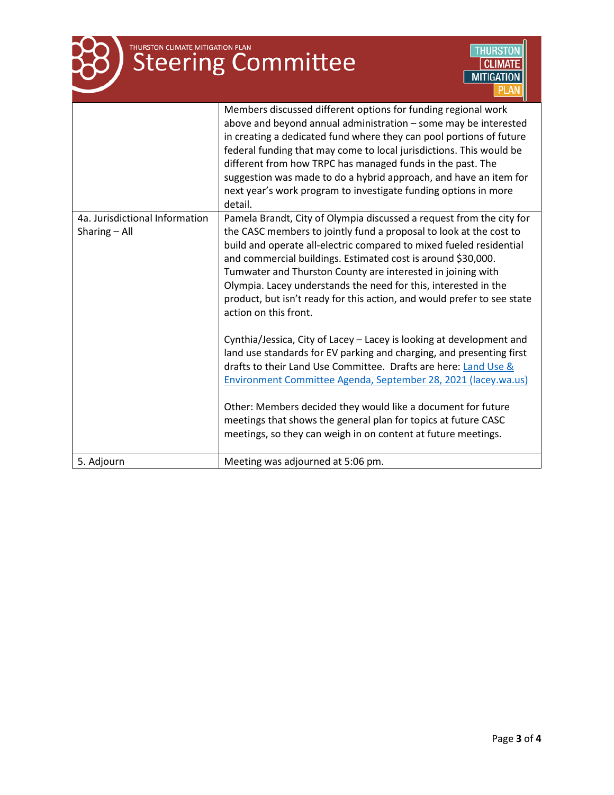

# THURSTON CLIMATE MITIGATION PLAN



|                                                 | Members discussed different options for funding regional work<br>above and beyond annual administration - some may be interested<br>in creating a dedicated fund where they can pool portions of future<br>federal funding that may come to local jurisdictions. This would be<br>different from how TRPC has managed funds in the past. The<br>suggestion was made to do a hybrid approach, and have an item for<br>next year's work program to investigate funding options in more<br>detail.                                                                                                                                                                                                                                                                                                                                                                                                                                                                                                                 |
|-------------------------------------------------|-----------------------------------------------------------------------------------------------------------------------------------------------------------------------------------------------------------------------------------------------------------------------------------------------------------------------------------------------------------------------------------------------------------------------------------------------------------------------------------------------------------------------------------------------------------------------------------------------------------------------------------------------------------------------------------------------------------------------------------------------------------------------------------------------------------------------------------------------------------------------------------------------------------------------------------------------------------------------------------------------------------------|
| 4a. Jurisdictional Information<br>Sharing - All | Pamela Brandt, City of Olympia discussed a request from the city for<br>the CASC members to jointly fund a proposal to look at the cost to<br>build and operate all-electric compared to mixed fueled residential<br>and commercial buildings. Estimated cost is around \$30,000.<br>Tumwater and Thurston County are interested in joining with<br>Olympia. Lacey understands the need for this, interested in the<br>product, but isn't ready for this action, and would prefer to see state<br>action on this front.<br>Cynthia/Jessica, City of Lacey - Lacey is looking at development and<br>land use standards for EV parking and charging, and presenting first<br>drafts to their Land Use Committee. Drafts are here: Land Use &<br>Environment Committee Agenda, September 28, 2021 (lacey.wa.us)<br>Other: Members decided they would like a document for future<br>meetings that shows the general plan for topics at future CASC<br>meetings, so they can weigh in on content at future meetings. |
| 5. Adjourn                                      | Meeting was adjourned at 5:06 pm.                                                                                                                                                                                                                                                                                                                                                                                                                                                                                                                                                                                                                                                                                                                                                                                                                                                                                                                                                                               |